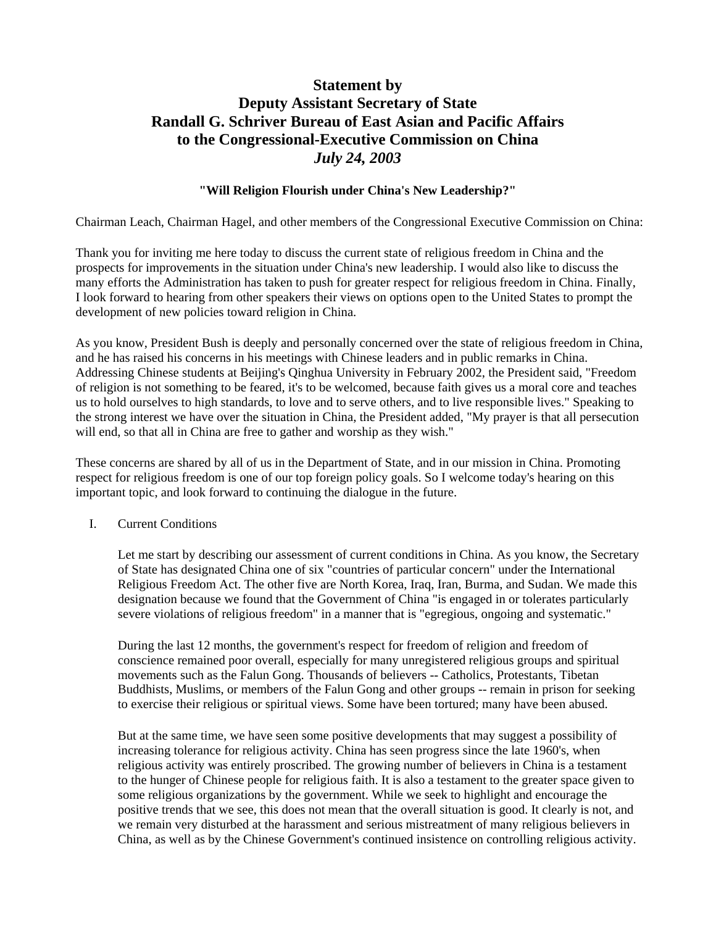# **Statement by Deputy Assistant Secretary of State Randall G. Schriver Bureau of East Asian and Pacific Affairs to the Congressional-Executive Commission on China**  *July 24, 2003*

# **"Will Religion Flourish under China's New Leadership?"**

Chairman Leach, Chairman Hagel, and other members of the Congressional Executive Commission on China:

Thank you for inviting me here today to discuss the current state of religious freedom in China and the prospects for improvements in the situation under China's new leadership. I would also like to discuss the many efforts the Administration has taken to push for greater respect for religious freedom in China. Finally, I look forward to hearing from other speakers their views on options open to the United States to prompt the development of new policies toward religion in China.

As you know, President Bush is deeply and personally concerned over the state of religious freedom in China, and he has raised his concerns in his meetings with Chinese leaders and in public remarks in China. Addressing Chinese students at Beijing's Qinghua University in February 2002, the President said, "Freedom of religion is not something to be feared, it's to be welcomed, because faith gives us a moral core and teaches us to hold ourselves to high standards, to love and to serve others, and to live responsible lives." Speaking to the strong interest we have over the situation in China, the President added, "My prayer is that all persecution will end, so that all in China are free to gather and worship as they wish."

These concerns are shared by all of us in the Department of State, and in our mission in China. Promoting respect for religious freedom is one of our top foreign policy goals. So I welcome today's hearing on this important topic, and look forward to continuing the dialogue in the future.

I. Current Conditions

Let me start by describing our assessment of current conditions in China. As you know, the Secretary of State has designated China one of six "countries of particular concern" under the International Religious Freedom Act. The other five are North Korea, Iraq, Iran, Burma, and Sudan. We made this designation because we found that the Government of China "is engaged in or tolerates particularly severe violations of religious freedom" in a manner that is "egregious, ongoing and systematic."

During the last 12 months, the government's respect for freedom of religion and freedom of conscience remained poor overall, especially for many unregistered religious groups and spiritual movements such as the Falun Gong. Thousands of believers -- Catholics, Protestants, Tibetan Buddhists, Muslims, or members of the Falun Gong and other groups -- remain in prison for seeking to exercise their religious or spiritual views. Some have been tortured; many have been abused.

But at the same time, we have seen some positive developments that may suggest a possibility of increasing tolerance for religious activity. China has seen progress since the late 1960's, when religious activity was entirely proscribed. The growing number of believers in China is a testament to the hunger of Chinese people for religious faith. It is also a testament to the greater space given to some religious organizations by the government. While we seek to highlight and encourage the positive trends that we see, this does not mean that the overall situation is good. It clearly is not, and we remain very disturbed at the harassment and serious mistreatment of many religious believers in China, as well as by the Chinese Government's continued insistence on controlling religious activity.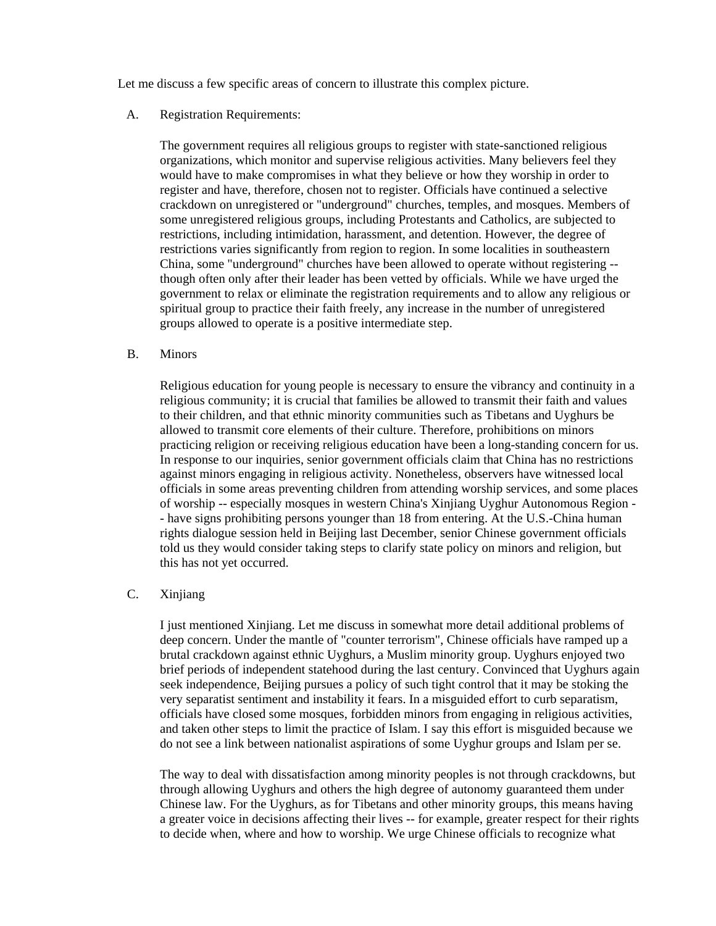Let me discuss a few specific areas of concern to illustrate this complex picture.

## A. Registration Requirements:

The government requires all religious groups to register with state-sanctioned religious organizations, which monitor and supervise religious activities. Many believers feel they would have to make compromises in what they believe or how they worship in order to register and have, therefore, chosen not to register. Officials have continued a selective crackdown on unregistered or "underground" churches, temples, and mosques. Members of some unregistered religious groups, including Protestants and Catholics, are subjected to restrictions, including intimidation, harassment, and detention. However, the degree of restrictions varies significantly from region to region. In some localities in southeastern China, some "underground" churches have been allowed to operate without registering - though often only after their leader has been vetted by officials. While we have urged the government to relax or eliminate the registration requirements and to allow any religious or spiritual group to practice their faith freely, any increase in the number of unregistered groups allowed to operate is a positive intermediate step.

## B. Minors

Religious education for young people is necessary to ensure the vibrancy and continuity in a religious community; it is crucial that families be allowed to transmit their faith and values to their children, and that ethnic minority communities such as Tibetans and Uyghurs be allowed to transmit core elements of their culture. Therefore, prohibitions on minors practicing religion or receiving religious education have been a long-standing concern for us. In response to our inquiries, senior government officials claim that China has no restrictions against minors engaging in religious activity. Nonetheless, observers have witnessed local officials in some areas preventing children from attending worship services, and some places of worship -- especially mosques in western China's Xinjiang Uyghur Autonomous Region - - have signs prohibiting persons younger than 18 from entering. At the U.S.-China human rights dialogue session held in Beijing last December, senior Chinese government officials told us they would consider taking steps to clarify state policy on minors and religion, but this has not yet occurred.

## C. Xinjiang

I just mentioned Xinjiang. Let me discuss in somewhat more detail additional problems of deep concern. Under the mantle of "counter terrorism", Chinese officials have ramped up a brutal crackdown against ethnic Uyghurs, a Muslim minority group. Uyghurs enjoyed two brief periods of independent statehood during the last century. Convinced that Uyghurs again seek independence, Beijing pursues a policy of such tight control that it may be stoking the very separatist sentiment and instability it fears. In a misguided effort to curb separatism, officials have closed some mosques, forbidden minors from engaging in religious activities, and taken other steps to limit the practice of Islam. I say this effort is misguided because we do not see a link between nationalist aspirations of some Uyghur groups and Islam per se.

The way to deal with dissatisfaction among minority peoples is not through crackdowns, but through allowing Uyghurs and others the high degree of autonomy guaranteed them under Chinese law. For the Uyghurs, as for Tibetans and other minority groups, this means having a greater voice in decisions affecting their lives -- for example, greater respect for their rights to decide when, where and how to worship. We urge Chinese officials to recognize what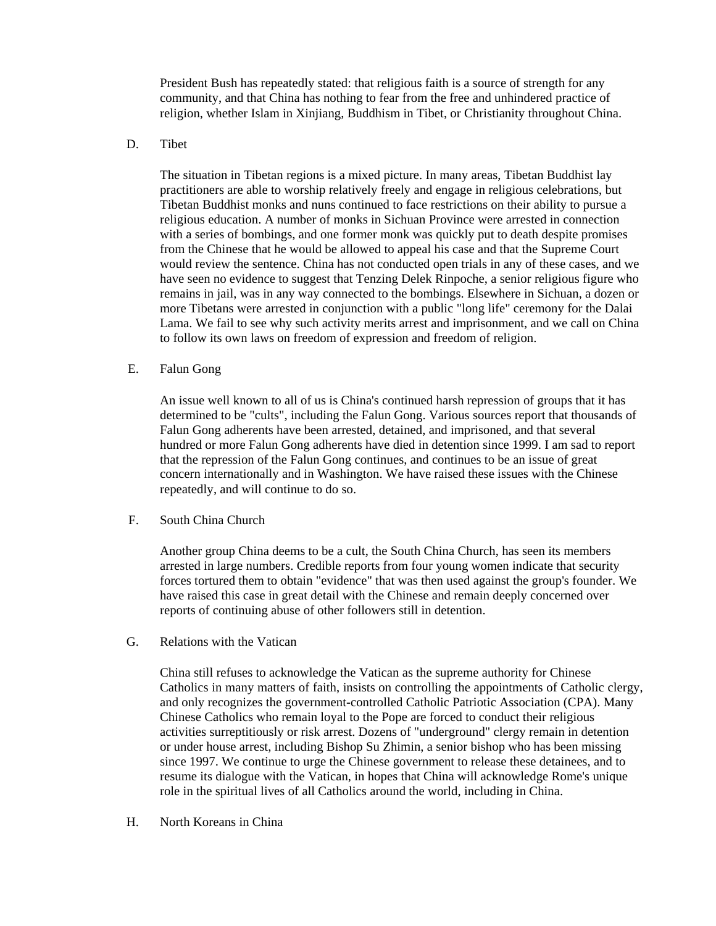President Bush has repeatedly stated: that religious faith is a source of strength for any community, and that China has nothing to fear from the free and unhindered practice of religion, whether Islam in Xinjiang, Buddhism in Tibet, or Christianity throughout China.

## D. Tibet

The situation in Tibetan regions is a mixed picture. In many areas, Tibetan Buddhist lay practitioners are able to worship relatively freely and engage in religious celebrations, but Tibetan Buddhist monks and nuns continued to face restrictions on their ability to pursue a religious education. A number of monks in Sichuan Province were arrested in connection with a series of bombings, and one former monk was quickly put to death despite promises from the Chinese that he would be allowed to appeal his case and that the Supreme Court would review the sentence. China has not conducted open trials in any of these cases, and we have seen no evidence to suggest that Tenzing Delek Rinpoche, a senior religious figure who remains in jail, was in any way connected to the bombings. Elsewhere in Sichuan, a dozen or more Tibetans were arrested in conjunction with a public "long life" ceremony for the Dalai Lama. We fail to see why such activity merits arrest and imprisonment, and we call on China to follow its own laws on freedom of expression and freedom of religion.

## E. Falun Gong

An issue well known to all of us is China's continued harsh repression of groups that it has determined to be "cults", including the Falun Gong. Various sources report that thousands of Falun Gong adherents have been arrested, detained, and imprisoned, and that several hundred or more Falun Gong adherents have died in detention since 1999. I am sad to report that the repression of the Falun Gong continues, and continues to be an issue of great concern internationally and in Washington. We have raised these issues with the Chinese repeatedly, and will continue to do so.

#### F. South China Church

Another group China deems to be a cult, the South China Church, has seen its members arrested in large numbers. Credible reports from four young women indicate that security forces tortured them to obtain "evidence" that was then used against the group's founder. We have raised this case in great detail with the Chinese and remain deeply concerned over reports of continuing abuse of other followers still in detention.

G. Relations with the Vatican

China still refuses to acknowledge the Vatican as the supreme authority for Chinese Catholics in many matters of faith, insists on controlling the appointments of Catholic clergy, and only recognizes the government-controlled Catholic Patriotic Association (CPA). Many Chinese Catholics who remain loyal to the Pope are forced to conduct their religious activities surreptitiously or risk arrest. Dozens of "underground" clergy remain in detention or under house arrest, including Bishop Su Zhimin, a senior bishop who has been missing since 1997. We continue to urge the Chinese government to release these detainees, and to resume its dialogue with the Vatican, in hopes that China will acknowledge Rome's unique role in the spiritual lives of all Catholics around the world, including in China.

H. North Koreans in China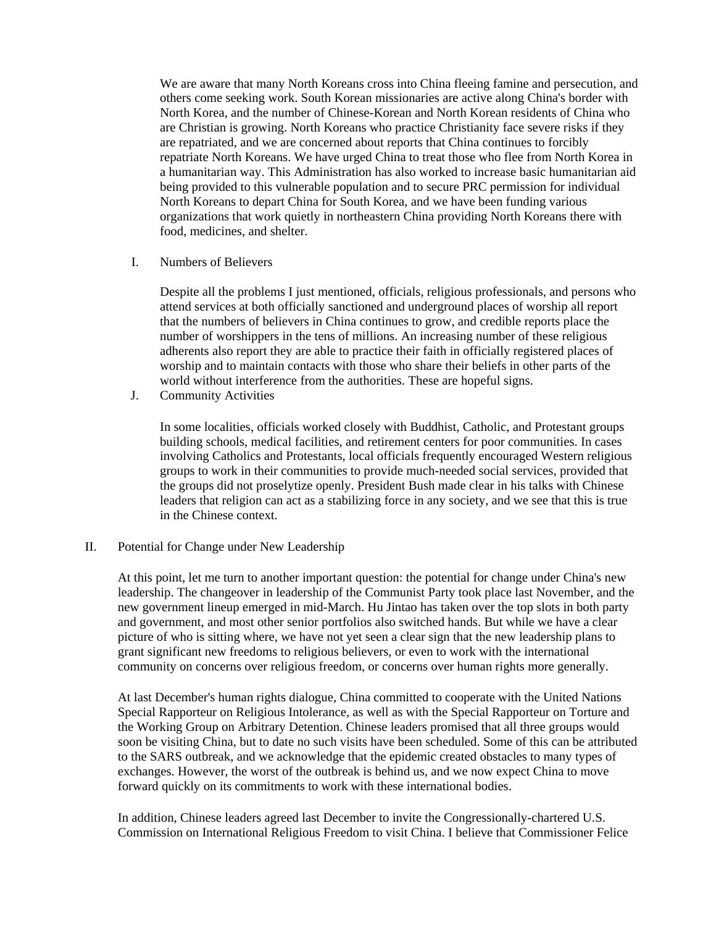We are aware that many North Koreans cross into China fleeing famine and persecution, and others come seeking work. South Korean missionaries are active along China's border with North Korea, and the number of Chinese-Korean and North Korean residents of China who are Christian is growing. North Koreans who practice Christianity face severe risks if they are repatriated, and we are concerned about reports that China continues to forcibly repatriate North Koreans. We have urged China to treat those who flee from North Korea in a humanitarian way. This Administration has also worked to increase basic humanitarian aid being provided to this vulnerable population and to secure PRC permission for individual North Koreans to depart China for South Korea, and we have been funding various organizations that work quietly in northeastern China providing North Koreans there with food, medicines, and shelter.

I. Numbers of Believers

Despite all the problems I just mentioned, officials, religious professionals, and persons who attend services at both officially sanctioned and underground places of worship all report that the numbers of believers in China continues to grow, and credible reports place the number of worshippers in the tens of millions. An increasing number of these religious adherents also report they are able to practice their faith in officially registered places of worship and to maintain contacts with those who share their beliefs in other parts of the world without interference from the authorities. These are hopeful signs.

J. Community Activities

In some localities, officials worked closely with Buddhist, Catholic, and Protestant groups building schools, medical facilities, and retirement centers for poor communities. In cases involving Catholics and Protestants, local officials frequently encouraged Western religious groups to work in their communities to provide much-needed social services, provided that the groups did not proselytize openly. President Bush made clear in his talks with Chinese leaders that religion can act as a stabilizing force in any society, and we see that this is true in the Chinese context.

#### II. Potential for Change under New Leadership

At this point, let me turn to another important question: the potential for change under China's new leadership. The changeover in leadership of the Communist Party took place last November, and the new government lineup emerged in mid-March. Hu Jintao has taken over the top slots in both party and government, and most other senior portfolios also switched hands. But while we have a clear picture of who is sitting where, we have not yet seen a clear sign that the new leadership plans to grant significant new freedoms to religious believers, or even to work with the international community on concerns over religious freedom, or concerns over human rights more generally.

At last December's human rights dialogue, China committed to cooperate with the United Nations Special Rapporteur on Religious Intolerance, as well as with the Special Rapporteur on Torture and the Working Group on Arbitrary Detention. Chinese leaders promised that all three groups would soon be visiting China, but to date no such visits have been scheduled. Some of this can be attributed to the SARS outbreak, and we acknowledge that the epidemic created obstacles to many types of exchanges. However, the worst of the outbreak is behind us, and we now expect China to move forward quickly on its commitments to work with these international bodies.

In addition, Chinese leaders agreed last December to invite the Congressionally-chartered U.S. Commission on International Religious Freedom to visit China. I believe that Commissioner Felice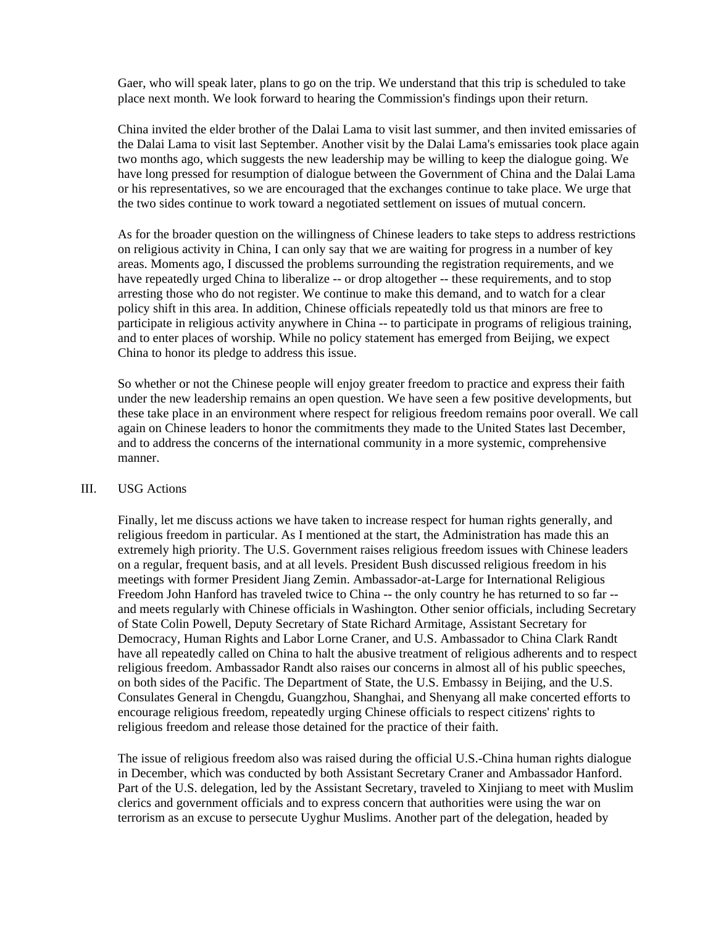Gaer, who will speak later, plans to go on the trip. We understand that this trip is scheduled to take place next month. We look forward to hearing the Commission's findings upon their return.

China invited the elder brother of the Dalai Lama to visit last summer, and then invited emissaries of the Dalai Lama to visit last September. Another visit by the Dalai Lama's emissaries took place again two months ago, which suggests the new leadership may be willing to keep the dialogue going. We have long pressed for resumption of dialogue between the Government of China and the Dalai Lama or his representatives, so we are encouraged that the exchanges continue to take place. We urge that the two sides continue to work toward a negotiated settlement on issues of mutual concern.

As for the broader question on the willingness of Chinese leaders to take steps to address restrictions on religious activity in China, I can only say that we are waiting for progress in a number of key areas. Moments ago, I discussed the problems surrounding the registration requirements, and we have repeatedly urged China to liberalize -- or drop altogether -- these requirements, and to stop arresting those who do not register. We continue to make this demand, and to watch for a clear policy shift in this area. In addition, Chinese officials repeatedly told us that minors are free to participate in religious activity anywhere in China -- to participate in programs of religious training, and to enter places of worship. While no policy statement has emerged from Beijing, we expect China to honor its pledge to address this issue.

So whether or not the Chinese people will enjoy greater freedom to practice and express their faith under the new leadership remains an open question. We have seen a few positive developments, but these take place in an environment where respect for religious freedom remains poor overall. We call again on Chinese leaders to honor the commitments they made to the United States last December, and to address the concerns of the international community in a more systemic, comprehensive manner.

## III. USG Actions

Finally, let me discuss actions we have taken to increase respect for human rights generally, and religious freedom in particular. As I mentioned at the start, the Administration has made this an extremely high priority. The U.S. Government raises religious freedom issues with Chinese leaders on a regular, frequent basis, and at all levels. President Bush discussed religious freedom in his meetings with former President Jiang Zemin. Ambassador-at-Large for International Religious Freedom John Hanford has traveled twice to China -- the only country he has returned to so far - and meets regularly with Chinese officials in Washington. Other senior officials, including Secretary of State Colin Powell, Deputy Secretary of State Richard Armitage, Assistant Secretary for Democracy, Human Rights and Labor Lorne Craner, and U.S. Ambassador to China Clark Randt have all repeatedly called on China to halt the abusive treatment of religious adherents and to respect religious freedom. Ambassador Randt also raises our concerns in almost all of his public speeches, on both sides of the Pacific. The Department of State, the U.S. Embassy in Beijing, and the U.S. Consulates General in Chengdu, Guangzhou, Shanghai, and Shenyang all make concerted efforts to encourage religious freedom, repeatedly urging Chinese officials to respect citizens' rights to religious freedom and release those detained for the practice of their faith.

The issue of religious freedom also was raised during the official U.S.-China human rights dialogue in December, which was conducted by both Assistant Secretary Craner and Ambassador Hanford. Part of the U.S. delegation, led by the Assistant Secretary, traveled to Xinjiang to meet with Muslim clerics and government officials and to express concern that authorities were using the war on terrorism as an excuse to persecute Uyghur Muslims. Another part of the delegation, headed by